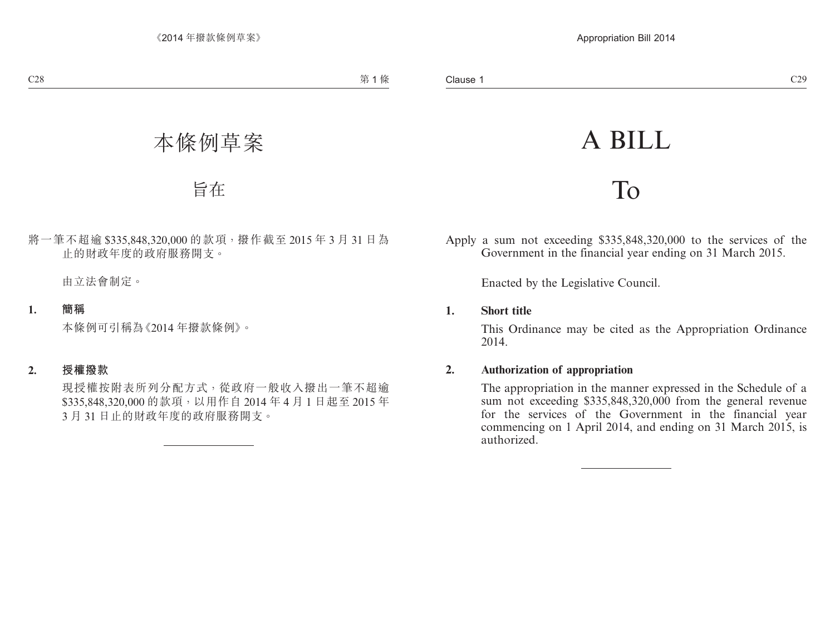# A BILL

# To

Apply a sum not exceeding \$335,848,320,000 to the services of the Government in the financial year ending on 31 March 2015.

Enacted by the Legislative Council.

### **1. Short title**

This Ordinance may be cited as the Appropriation Ordinance 2014.

## **2. Authorization of appropriation**

The appropriation in the manner expressed in the Schedule of a sum not exceeding \$335,848,320,000 from the general revenue for the services of the Government in the financial year commencing on 1 April 2014, and ending on 31 March 2015, is authorized.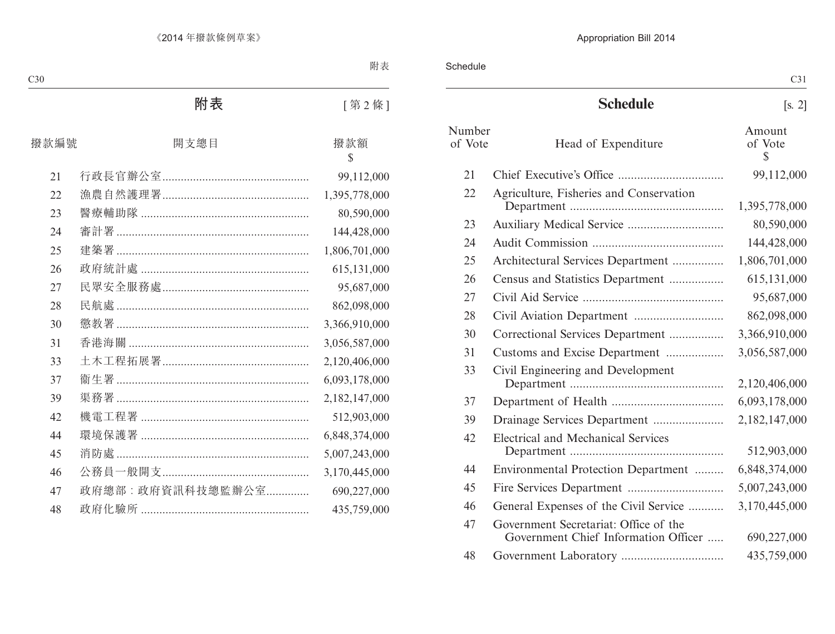Schedule

|                   |                                                                               | C31                               |
|-------------------|-------------------------------------------------------------------------------|-----------------------------------|
|                   | <b>Schedule</b>                                                               | [s, 2]                            |
| Number<br>of Vote | Head of Expenditure                                                           | Amount<br>of Vote<br>$\mathbb{S}$ |
| 21                |                                                                               | 99,112,000                        |
| 22                | Agriculture, Fisheries and Conservation                                       | 1,395,778,000                     |
| 23                |                                                                               | 80,590,000                        |
| 24                |                                                                               | 144,428,000                       |
| 25                | Architectural Services Department                                             | 1,806,701,000                     |
| 26                | Census and Statistics Department                                              | 615,131,000                       |
| 27                |                                                                               | 95,687,000                        |
| 28                |                                                                               | 862,098,000                       |
| 30                | Correctional Services Department                                              | 3,366,910,000                     |
| 31                | Customs and Excise Department                                                 | 3,056,587,000                     |
| 33                | Civil Engineering and Development                                             | 2,120,406,000                     |
| 37                |                                                                               | 6,093,178,000                     |
| 39                | Drainage Services Department                                                  | 2,182,147,000                     |
| 42                | <b>Electrical and Mechanical Services</b>                                     | 512,903,000                       |
| 44                | Environmental Protection Department                                           | 6,848,374,000                     |
| 45                |                                                                               | 5,007,243,000                     |
| 46                | General Expenses of the Civil Service                                         | 3,170,445,000                     |
| 47                | Government Secretariat: Office of the<br>Government Chief Information Officer | 690,227,000                       |
| 48                |                                                                               | 435,759,000                       |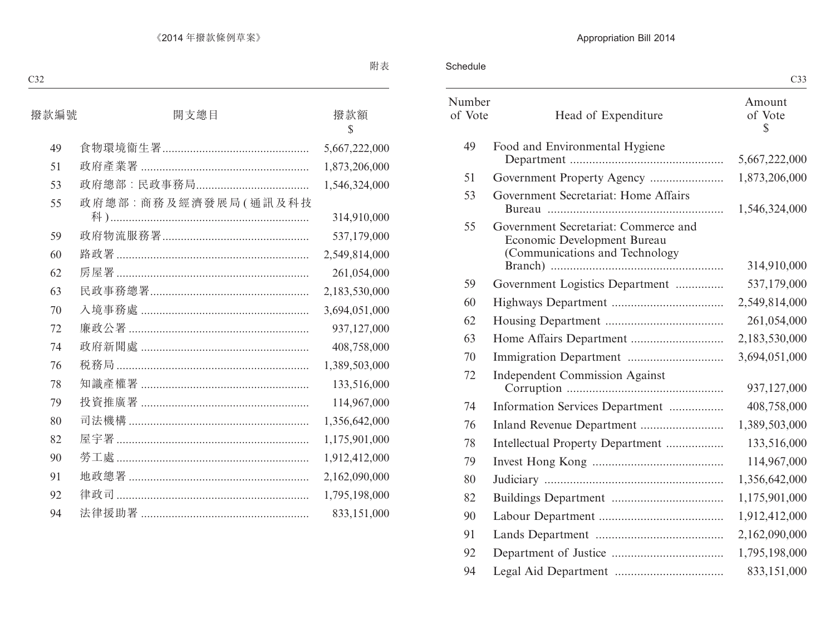Schedule

|                   |                                                                                                       | U33                     |
|-------------------|-------------------------------------------------------------------------------------------------------|-------------------------|
| Number<br>of Vote | Head of Expenditure                                                                                   | Amount<br>of Vote<br>\$ |
| 49                | Food and Environmental Hygiene                                                                        | 5,667,222,000           |
| 51                |                                                                                                       | 1,873,206,000           |
| 53                | Government Secretariat: Home Affairs                                                                  | 1,546,324,000           |
| 55                | Government Secretariat: Commerce and<br>Economic Development Bureau<br>(Communications and Technology | 314,910,000             |
| 59                | Government Logistics Department                                                                       | 537,179,000             |
| 60                |                                                                                                       | 2,549,814,000           |
| 62                |                                                                                                       | 261,054,000             |
| 63                |                                                                                                       | 2,183,530,000           |
| 70                |                                                                                                       | 3,694,051,000           |
| 72                | <b>Independent Commission Against</b>                                                                 | 937,127,000             |
| 74                | Information Services Department                                                                       | 408,758,000             |
| 76                |                                                                                                       | 1,389,503,000           |
| 78                | Intellectual Property Department                                                                      | 133,516,000             |
| 79                |                                                                                                       | 114,967,000             |
| 80                |                                                                                                       | 1,356,642,000           |
| 82                |                                                                                                       | 1,175,901,000           |
| 90                |                                                                                                       | 1,912,412,000           |
| 91                |                                                                                                       | 2,162,090,000           |
| 92                |                                                                                                       | 1,795,198,000           |
| 94                |                                                                                                       | 833,151,000             |

 $C33$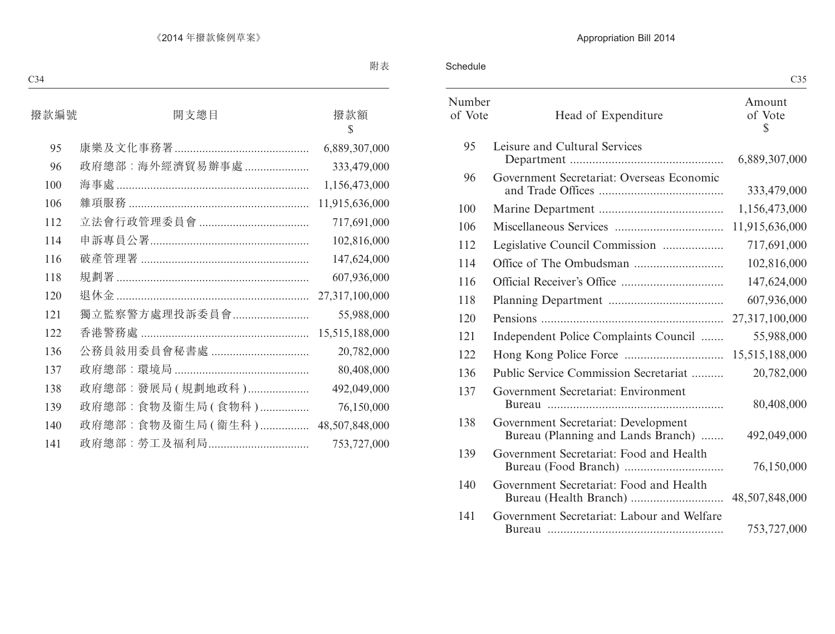Schedule

|                   |                                                                           | ww                      |
|-------------------|---------------------------------------------------------------------------|-------------------------|
| Number<br>of Vote | Head of Expenditure                                                       | Amount<br>of Vote<br>\$ |
| 95                | Leisure and Cultural Services                                             | 6,889,307,000           |
| 96                | Government Secretariat: Overseas Economic                                 | 333,479,000             |
| 100               |                                                                           | 1,156,473,000           |
| 106               |                                                                           | 11,915,636,000          |
| 112               | Legislative Council Commission                                            | 717,691,000             |
| 114               |                                                                           | 102,816,000             |
| 116               |                                                                           | 147,624,000             |
| 118               |                                                                           | 607,936,000             |
| 120               |                                                                           | 27,317,100,000          |
| 121               | Independent Police Complaints Council                                     | 55,988,000              |
| 122               |                                                                           | 15,515,188,000          |
| 136               | Public Service Commission Secretariat                                     | 20,782,000              |
| 137               | Government Secretariat: Environment                                       | 80,408,000              |
| 138               | Government Secretariat: Development<br>Bureau (Planning and Lands Branch) | 492,049,000             |
| 139               | Government Secretariat: Food and Health                                   | 76,150,000              |
| 140               | Government Secretariat: Food and Health                                   |                         |
| 141               | Government Secretariat: Labour and Welfare                                | 753,727,000             |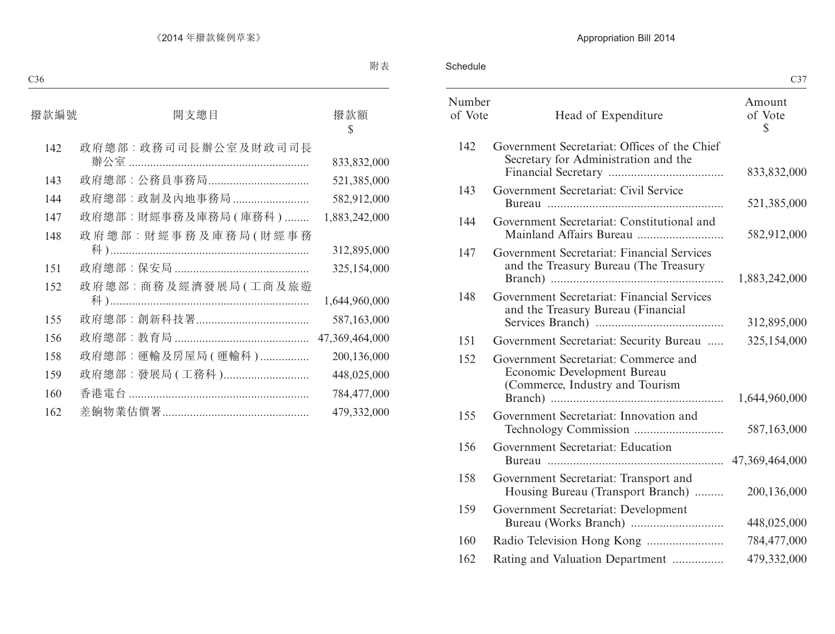Schedule

|                   |                                                                                                        | C <sub>37</sub>         |
|-------------------|--------------------------------------------------------------------------------------------------------|-------------------------|
| Number<br>of Vote | Head of Expenditure                                                                                    | Amount<br>of Vote<br>\$ |
| 142               | Government Secretariat: Offices of the Chief<br>Secretary for Administration and the                   | 833,832,000             |
| 143               | Government Secretariat: Civil Service                                                                  | 521,385,000             |
| 144               | Government Secretariat: Constitutional and                                                             | 582,912,000             |
| 147               | Government Secretariat: Financial Services<br>and the Treasury Bureau (The Treasury                    | 1,883,242,000           |
| 148               | Government Secretariat: Financial Services<br>and the Treasury Bureau (Financial                       | 312,895,000             |
| 151               | Government Secretariat: Security Bureau                                                                | 325,154,000             |
| 152               | Government Secretariat: Commerce and<br>Economic Development Bureau<br>(Commerce, Industry and Tourism | 1,644,960,000           |
| 155               | Government Secretariat: Innovation and                                                                 | 587,163,000             |
| 156               | Government Secretariat: Education                                                                      | 47,369,464,000          |
| 158               | Government Secretariat: Transport and<br>Housing Bureau (Transport Branch)                             | 200,136,000             |
| 159               | Government Secretariat: Development                                                                    | 448,025,000             |
| 160               |                                                                                                        | 784,477,000             |
| 162               | Rating and Valuation Department                                                                        | 479,332,000             |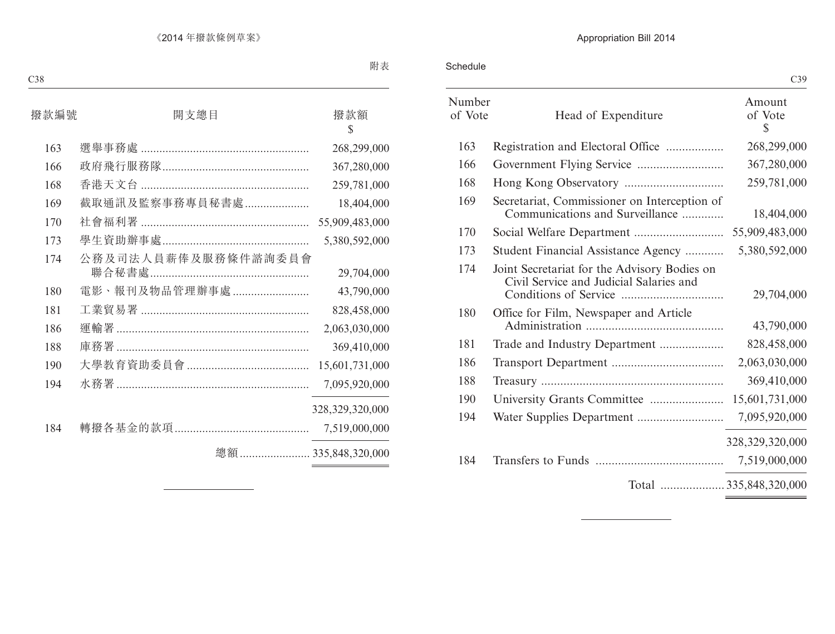Schedule

| Number<br>of Vote | Head of Expenditure                                                                     | Amount<br>of Vote<br>\$ |
|-------------------|-----------------------------------------------------------------------------------------|-------------------------|
| 163               | Registration and Electoral Office                                                       | 268,299,000             |
| 166               |                                                                                         | 367,280,000             |
| 168               |                                                                                         | 259,781,000             |
| 169               | Secretariat, Commissioner on Interception of<br>Communications and Surveillance         | 18,404,000              |
| 170               |                                                                                         | 55,909,483,000          |
| 173               | Student Financial Assistance Agency                                                     | 5,380,592,000           |
| 174               | Joint Secretariat for the Advisory Bodies on<br>Civil Service and Judicial Salaries and | 29,704,000              |
| 180               | Office for Film, Newspaper and Article                                                  | 43,790,000              |
| 181               | Trade and Industry Department                                                           | 828,458,000             |
| 186               |                                                                                         | 2,063,030,000           |
| 188               |                                                                                         | 369,410,000             |
| 190               | University Grants Committee                                                             | 15,601,731,000          |
| 194               |                                                                                         | 7,095,920,000           |
|                   |                                                                                         | 328, 329, 320, 000      |
| 184               |                                                                                         | 7,519,000,000           |
|                   | Total 335,848,320,000                                                                   |                         |
|                   |                                                                                         |                         |

<u> 1989 - Johann Barbara, martxa a</u>

C39